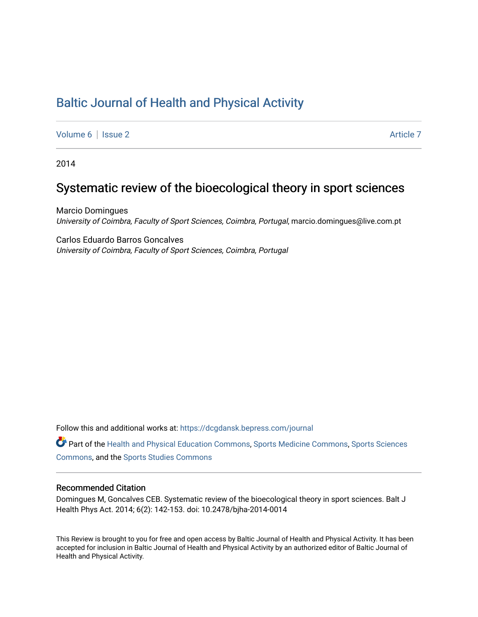# [Baltic Journal of Health and Physical Activity](https://dcgdansk.bepress.com/journal)

[Volume 6](https://dcgdansk.bepress.com/journal/vol6) | [Issue 2](https://dcgdansk.bepress.com/journal/vol6/iss2) Article 7

2014

# Systematic review of the bioecological theory in sport sciences

Marcio Domingues University of Coimbra, Faculty of Sport Sciences, Coimbra, Portugal, marcio.domingues@live.com.pt

Carlos Eduardo Barros Goncalves University of Coimbra, Faculty of Sport Sciences, Coimbra, Portugal

Follow this and additional works at: [https://dcgdansk.bepress.com/journal](https://dcgdansk.bepress.com/journal?utm_source=dcgdansk.bepress.com%2Fjournal%2Fvol6%2Fiss2%2F7&utm_medium=PDF&utm_campaign=PDFCoverPages)

Part of the [Health and Physical Education Commons](http://network.bepress.com/hgg/discipline/1327?utm_source=dcgdansk.bepress.com%2Fjournal%2Fvol6%2Fiss2%2F7&utm_medium=PDF&utm_campaign=PDFCoverPages), [Sports Medicine Commons,](http://network.bepress.com/hgg/discipline/1331?utm_source=dcgdansk.bepress.com%2Fjournal%2Fvol6%2Fiss2%2F7&utm_medium=PDF&utm_campaign=PDFCoverPages) [Sports Sciences](http://network.bepress.com/hgg/discipline/759?utm_source=dcgdansk.bepress.com%2Fjournal%2Fvol6%2Fiss2%2F7&utm_medium=PDF&utm_campaign=PDFCoverPages) [Commons](http://network.bepress.com/hgg/discipline/759?utm_source=dcgdansk.bepress.com%2Fjournal%2Fvol6%2Fiss2%2F7&utm_medium=PDF&utm_campaign=PDFCoverPages), and the [Sports Studies Commons](http://network.bepress.com/hgg/discipline/1198?utm_source=dcgdansk.bepress.com%2Fjournal%2Fvol6%2Fiss2%2F7&utm_medium=PDF&utm_campaign=PDFCoverPages) 

### Recommended Citation

Domingues M, Goncalves CEB. Systematic review of the bioecological theory in sport sciences. Balt J Health Phys Act. 2014; 6(2): 142-153. doi: 10.2478/bjha-2014-0014

This Review is brought to you for free and open access by Baltic Journal of Health and Physical Activity. It has been accepted for inclusion in Baltic Journal of Health and Physical Activity by an authorized editor of Baltic Journal of Health and Physical Activity.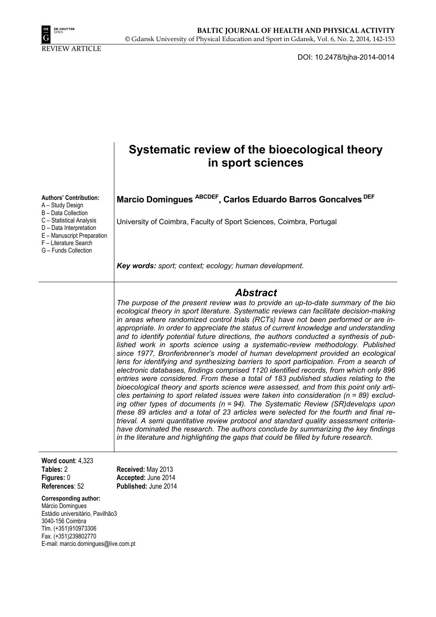

DOI: 10.2478/bjha-2014-0014

|                                                                                                                                                                                                                | Systematic review of the bioecological theory<br>in sport sciences                                                                                                                                                                                                                                                                                                                                                                                                                                                                                                                                                                                                                                                                                                                                                                                                                                                                                                                                                                                                                                                                                                                                                                                                                                                                                                                                                                                                                                                                                                       |
|----------------------------------------------------------------------------------------------------------------------------------------------------------------------------------------------------------------|--------------------------------------------------------------------------------------------------------------------------------------------------------------------------------------------------------------------------------------------------------------------------------------------------------------------------------------------------------------------------------------------------------------------------------------------------------------------------------------------------------------------------------------------------------------------------------------------------------------------------------------------------------------------------------------------------------------------------------------------------------------------------------------------------------------------------------------------------------------------------------------------------------------------------------------------------------------------------------------------------------------------------------------------------------------------------------------------------------------------------------------------------------------------------------------------------------------------------------------------------------------------------------------------------------------------------------------------------------------------------------------------------------------------------------------------------------------------------------------------------------------------------------------------------------------------------|
| <b>Authors' Contribution:</b><br>A - Study Design<br>B - Data Collection<br>C - Statistical Analysis<br>D - Data Interpretation<br>E - Manuscript Preparation<br>F - Literature Search<br>G - Funds Collection | Marcio Domingues ABCDEF, Carlos Eduardo Barros Goncalves DEF<br>University of Coimbra, Faculty of Sport Sciences, Coimbra, Portugal                                                                                                                                                                                                                                                                                                                                                                                                                                                                                                                                                                                                                                                                                                                                                                                                                                                                                                                                                                                                                                                                                                                                                                                                                                                                                                                                                                                                                                      |
|                                                                                                                                                                                                                | Key words: sport; context; ecology; human development.                                                                                                                                                                                                                                                                                                                                                                                                                                                                                                                                                                                                                                                                                                                                                                                                                                                                                                                                                                                                                                                                                                                                                                                                                                                                                                                                                                                                                                                                                                                   |
|                                                                                                                                                                                                                | <b>Abstract</b><br>The purpose of the present review was to provide an up-to-date summary of the bio<br>ecological theory in sport literature. Systematic reviews can facilitate decision-making<br>in areas where randomized control trials (RCTs) have not been performed or are in-<br>appropriate. In order to appreciate the status of current knowledge and understanding<br>and to identify potential future directions, the authors conducted a synthesis of pub-<br>lished work in sports science using a systematic-review methodology. Published<br>since 1977, Bronfenbrenner's model of human development provided an ecological<br>lens for identifying and synthesizing barriers to sport participation. From a search of<br>electronic databases, findings comprised 1120 identified records, from which only 896<br>entries were considered. From these a total of 183 published studies relating to the<br>bioecological theory and sports science were assessed, and from this point only arti-<br>cles pertaining to sport related issues were taken into consideration ( $n = 89$ ) exclud-<br>ing other types of documents ( $n = 94$ ). The Systematic Review (SR)develops upon<br>these 89 articles and a total of 23 articles were selected for the fourth and final re-<br>trieval. A semi quantitative review protocol and standard quality assessment criteria-<br>have dominated the research. The authors conclude by summarizing the key findings<br>in the literature and highlighting the gaps that could be filled by future research. |
| Word count: 4,323<br>Tables: 2<br>Figures: 0<br>References: 52                                                                                                                                                 | Received: May 2013<br>Accepted: June 2014<br>Published: June 2014                                                                                                                                                                                                                                                                                                                                                                                                                                                                                                                                                                                                                                                                                                                                                                                                                                                                                                                                                                                                                                                                                                                                                                                                                                                                                                                                                                                                                                                                                                        |
| <b>Corresponding author:</b><br>Márcio Domingues<br>Estádio universitário, Pavilhão3<br>3040-156 Coimbra<br>Tlm. (+351)910973306                                                                               |                                                                                                                                                                                                                                                                                                                                                                                                                                                                                                                                                                                                                                                                                                                                                                                                                                                                                                                                                                                                                                                                                                                                                                                                                                                                                                                                                                                                                                                                                                                                                                          |

Tlm. (+351)910973306 Fax. (+351)239802770 E-mail: marcio.domingues@live.com.pt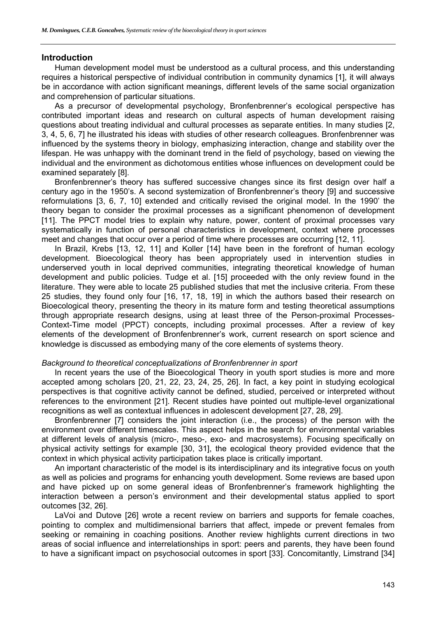# **Introduction**

Human development model must be understood as a cultural process, and this understanding requires a historical perspective of individual contribution in community dynamics [1], it will always be in accordance with action significant meanings, different levels of the same social organization and comprehension of particular situations.

As a precursor of developmental psychology, Bronfenbrenner's ecological perspective has contributed important ideas and research on cultural aspects of human development raising questions about treating individual and cultural processes as separate entities. In many studies [2, 3, 4, 5, 6, 7] he illustrated his ideas with studies of other research colleagues. Bronfenbrenner was influenced by the systems theory in biology, emphasizing interaction, change and stability over the lifespan. He was unhappy with the dominant trend in the field of psychology, based on viewing the individual and the environment as dichotomous entities whose influences on development could be examined separately [8].

Bronfenbrenner's theory has suffered successive changes since its first design over half a century ago in the 1950's. A second systemization of Bronfenbrenner's theory [9] and successive reformulations [3, 6, 7, 10] extended and critically revised the original model. In the 1990' the theory began to consider the proximal processes as a significant phenomenon of development [11]. The PPCT model tries to explain why nature, power, content of proximal processes vary systematically in function of personal characteristics in development, context where processes meet and changes that occur over a period of time where processes are occurring [12, 11].

In Brazil, Krebs [13, 12, 11] and Koller [14] have been in the forefront of human ecology development. Bioecological theory has been appropriately used in intervention studies in underserved youth in local deprived communities, integrating theoretical knowledge of human development and public policies. Tudge et al. [15] proceeded with the only review found in the literature. They were able to locate 25 published studies that met the inclusive criteria. From these 25 studies, they found only four [16, 17, 18, 19] in which the authors based their research on Bioecological theory, presenting the theory in its mature form and testing theoretical assumptions through appropriate research designs, using at least three of the Person-proximal Processes-Context-Time model (PPCT) concepts, including proximal processes. After a review of key elements of the development of Bronfenbrenner's work, current research on sport science and knowledge is discussed as embodying many of the core elements of systems theory.

# *Background to theoretical conceptualizations of Bronfenbrenner in sport*

In recent years the use of the Bioecological Theory in youth sport studies is more and more accepted among scholars [20, 21, 22, 23, 24, 25, 26]. In fact, a key point in studying ecological perspectives is that cognitive activity cannot be defined, studied, perceived or interpreted without references to the environment [21]. Recent studies have pointed out multiple-level organizational recognitions as well as contextual influences in adolescent development [27, 28, 29].

Bronfenbrenner [7] considers the joint interaction (i.e., the process) of the person with the environment over different timescales. This aspect helps in the search for environmental variables at different levels of analysis (micro-, meso-, exo- and macrosystems). Focusing specifically on physical activity settings for example [30, 31], the ecological theory provided evidence that the context in which physical activity participation takes place is critically important.

An important characteristic of the model is its interdisciplinary and its integrative focus on youth as well as policies and programs for enhancing youth development. Some reviews are based upon and have picked up on some general ideas of Bronfenbrenner's framework highlighting the interaction between a person's environment and their developmental status applied to sport outcomes [32, 26].

LaVoi and Dutove [26] wrote a recent review on barriers and supports for female coaches, pointing to complex and multidimensional barriers that affect, impede or prevent females from seeking or remaining in coaching positions. Another review highlights current directions in two areas of social influence and interrelationships in sport: peers and parents, they have been found to have a significant impact on psychosocial outcomes in sport [33]. Concomitantly, Limstrand [34]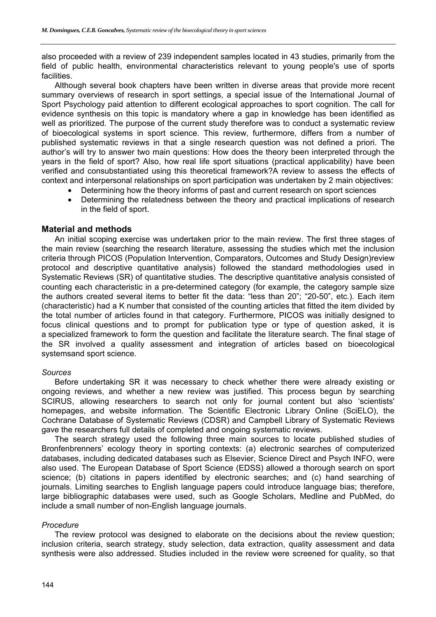also proceeded with a review of 239 independent samples located in 43 studies, primarily from the field of public health, environmental characteristics relevant to young people's use of sports facilities.

Although several book chapters have been written in diverse areas that provide more recent summary overviews of research in sport settings, a special issue of the International Journal of Sport Psychology paid attention to different ecological approaches to sport cognition. The call for evidence synthesis on this topic is mandatory where a gap in knowledge has been identified as well as prioritized. The purpose of the current study therefore was to conduct a systematic review of bioecological systems in sport science. This review, furthermore, differs from a number of published systematic reviews in that a single research question was not defined a priori. The author's will try to answer two main questions: How does the theory been interpreted through the years in the field of sport? Also, how real life sport situations (practical applicability) have been verified and consubstantiated using this theoretical framework?A review to assess the effects of context and interpersonal relationships on sport participation was undertaken by 2 main objectives:

- Determining how the theory informs of past and current research on sport sciences
- Determining the relatedness between the theory and practical implications of research in the field of sport.

# **Material and methods**

An initial scoping exercise was undertaken prior to the main review. The first three stages of the main review (searching the research literature, assessing the studies which met the inclusion criteria through PICOS (Population Intervention, Comparators, Outcomes and Study Design)review protocol and descriptive quantitative analysis) followed the standard methodologies used in Systematic Reviews (SR) of quantitative studies. The descriptive quantitative analysis consisted of counting each characteristic in a pre-determined category (for example, the category sample size the authors created several items to better fit the data: "less than 20"; "20-50", etc.). Each item (characteristic) had a K number that consisted of the counting articles that fitted the item divided by the total number of articles found in that category. Furthermore, PICOS was initially designed to focus clinical questions and to prompt for publication type or type of question asked, it is a specialized framework to form the question and facilitate the literature search. The final stage of the SR involved a quality assessment and integration of articles based on bioecological systemsand sport science.

# *Sources*

Before undertaking SR it was necessary to check whether there were already existing or ongoing reviews, and whether a new review was justified. This process begun by searching SCIRUS, allowing researchers to search not only for journal content but also 'scientists' homepages, and website information. The Scientific Electronic Library Online (SciELO), the Cochrane Database of Systematic Reviews (CDSR) and Campbell Library of Systematic Reviews gave the researchers full details of completed and ongoing systematic reviews.

The search strategy used the following three main sources to locate published studies of Bronfenbrenners' ecology theory in sporting contexts: (a) electronic searches of computerized databases, including dedicated databases such as Elsevier, Science Direct and Psych INFO, were also used. The European Database of Sport Science (EDSS) allowed a thorough search on sport science; (b) citations in papers identified by electronic searches; and (c) hand searching of journals. Limiting searches to English language papers could introduce language bias; therefore, large bibliographic databases were used, such as Google Scholars, Medline and PubMed, do include a small number of non-English language journals.

# *Procedure*

The review protocol was designed to elaborate on the decisions about the review question; inclusion criteria, search strategy, study selection, data extraction, quality assessment and data synthesis were also addressed. Studies included in the review were screened for quality, so that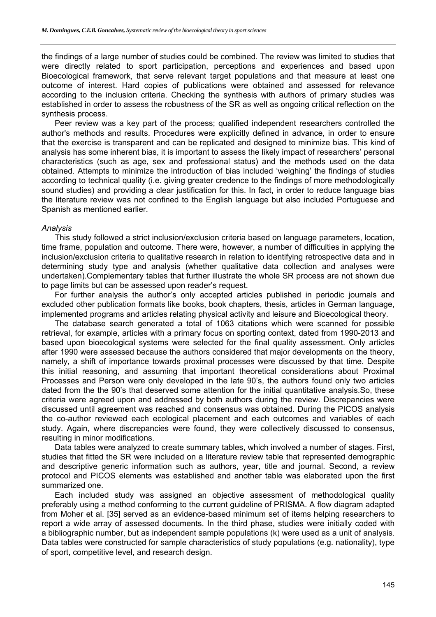the findings of a large number of studies could be combined. The review was limited to studies that were directly related to sport participation, perceptions and experiences and based upon Bioecological framework, that serve relevant target populations and that measure at least one outcome of interest. Hard copies of publications were obtained and assessed for relevance according to the inclusion criteria. Checking the synthesis with authors of primary studies was established in order to assess the robustness of the SR as well as ongoing critical reflection on the synthesis process.

Peer review was a key part of the process; qualified independent researchers controlled the author's methods and results. Procedures were explicitly defined in advance, in order to ensure that the exercise is transparent and can be replicated and designed to minimize bias. This kind of analysis has some inherent bias, it is important to assess the likely impact of researchers' personal characteristics (such as age, sex and professional status) and the methods used on the data obtained. Attempts to minimize the introduction of bias included 'weighing' the findings of studies according to technical quality (i.e. giving greater credence to the findings of more methodologically sound studies) and providing a clear justification for this. In fact, in order to reduce language bias the literature review was not confined to the English language but also included Portuguese and Spanish as mentioned earlier.

#### *Analysis*

This study followed a strict inclusion/exclusion criteria based on language parameters, location, time frame, population and outcome. There were, however, a number of difficulties in applying the inclusion/exclusion criteria to qualitative research in relation to identifying retrospective data and in determining study type and analysis (whether qualitative data collection and analyses were undertaken).Complementary tables that further illustrate the whole SR process are not shown due to page limits but can be assessed upon reader's request.

For further analysis the author's only accepted articles published in periodic journals and excluded other publication formats like books, book chapters, thesis, articles in German language, implemented programs and articles relating physical activity and leisure and Bioecological theory.

The database search generated a total of 1063 citations which were scanned for possible retrieval, for example, articles with a primary focus on sporting context, dated from 1990-2013 and based upon bioecological systems were selected for the final quality assessment. Only articles after 1990 were assessed because the authors considered that major developments on the theory, namely, a shift of importance towards proximal processes were discussed by that time. Despite this initial reasoning, and assuming that important theoretical considerations about Proximal Processes and Person were only developed in the late 90's, the authors found only two articles dated from the the 90's that deserved some attention for the initial quantitative analysis.So, these criteria were agreed upon and addressed by both authors during the review. Discrepancies were discussed until agreement was reached and consensus was obtained. During the PICOS analysis the co-author reviewed each ecological placement and each outcomes and variables of each study. Again, where discrepancies were found, they were collectively discussed to consensus, resulting in minor modifications.

Data tables were analyzed to create summary tables, which involved a number of stages. First, studies that fitted the SR were included on a literature review table that represented demographic and descriptive generic information such as authors, year, title and journal. Second, a review protocol and PICOS elements was established and another table was elaborated upon the first summarized one.

Each included study was assigned an objective assessment of methodological quality preferably using a method conforming to the current guideline of PRISMA. A flow diagram adapted from Moher et al. [35] served as an evidence-based minimum set of items helping researchers to report a wide array of assessed documents. In the third phase, studies were initially coded with a bibliographic number, but as independent sample populations (k) were used as a unit of analysis. Data tables were constructed for sample characteristics of study populations (e.g. nationality), type of sport, competitive level, and research design.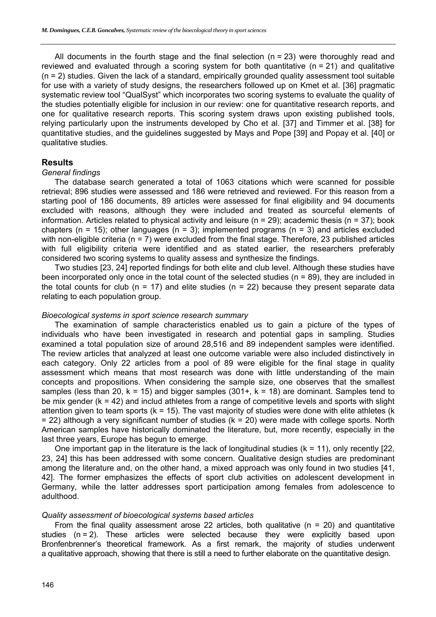All documents in the fourth stage and the final selection  $(n = 23)$  were thoroughly read and reviewed and evaluated through a scoring system for both quantitative ( $n = 21$ ) and qualitative (n = 2) studies. Given the lack of a standard, empirically grounded quality assessment tool suitable for use with a variety of study designs, the researchers followed up on Kmet et al. [36] pragmatic systematic review tool "QualSyst" which incorporates two scoring systems to evaluate the quality of the studies potentially eligible for inclusion in our review: one for quantitative research reports, and one for qualitative research reports. This scoring system draws upon existing published tools, relying particularly upon the instruments developed by Cho et al. [37] and Timmer et al. [38] for quantitative studies, and the guidelines suggested by Mays and Pope [39] and Popay et al. [40] or qualitative studies.

# **Results**

#### *General findings*

The database search generated a total of 1063 citations which were scanned for possible retrieval; 896 studies were assessed and 186 were retrieved and reviewed. For this reason from a starting pool of 186 documents, 89 articles were assessed for final eligibility and 94 documents excluded with reasons, although they were included and treated as sourceful elements of information. Articles related to physical activity and leisure ( $n = 29$ ); academic thesis ( $n = 37$ ); book chapters (n = 15); other languages (n = 3); implemented programs (n = 3) and articles excluded with non-eligible criteria (n = 7) were excluded from the final stage. Therefore, 23 published articles with full eligibility criteria were identified and as stated earlier, the researchers preferably considered two scoring systems to quality assess and synthesize the findings.

Two studies [23, 24] reported findings for both elite and club level. Although these studies have been incorporated only once in the total count of the selected studies (n = 89), they are included in the total counts for club ( $n = 17$ ) and elite studies ( $n = 22$ ) because they present separate data relating to each population group.

## *Bioecological systems in sport science research summary*

The examination of sample characteristics enabled us to gain a picture of the types of individuals who have been investigated in research and potential gaps in sampling. Studies examined a total population size of around 28,516 and 89 independent samples were identified. The review articles that analyzed at least one outcome variable were also included distinctively in each category. Only 22 articles from a pool of 89 were eligible for the final stage in quality assessment which means that most research was done with little understanding of the main concepts and propositions. When considering the sample size, one observes that the smallest samples (less than 20,  $k = 15$ ) and bigger samples (301+,  $k = 18$ ) are dominant. Samples tend to be mix gender (k = 42) and includ athletes from a range of competitive levels and sports with slight attention given to team sports ( $k = 15$ ). The vast majority of studies were done with elite athletes ( $k$ )  $= 22$ ) although a very significant number of studies ( $k = 20$ ) were made with college sports. North American samples have historically dominated the literature, but, more recently, especially in the last three years, Europe has begun to emerge.

One important gap in the literature is the lack of longitudinal studies  $(k = 11)$ , only recently  $[22]$ . 23, 24] this has been addressed with some concern. Qualitative design studies are predominant among the literature and, on the other hand, a mixed approach was only found in two studies [41, 42]. The former emphasizes the effects of sport club activities on adolescent development in Germany, while the latter addresses sport participation among females from adolescence to adulthood.

### *Quality assessment of bioecological systems based articles*

From the final quality assessment arose 22 articles, both qualitative ( $n = 20$ ) and quantitative studies (n = 2). These articles were selected because they were explicitly based upon Bronfenbrenner's theoretical framework. As a first remark, the majority of studies underwent a qualitative approach, showing that there is still a need to further elaborate on the quantitative design.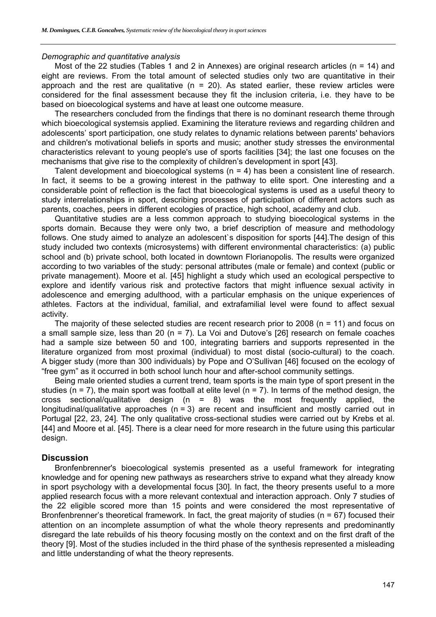## *Demographic and quantitative analysis*

Most of the 22 studies (Tables 1 and 2 in Annexes) are original research articles (n = 14) and eight are reviews. From the total amount of selected studies only two are quantitative in their approach and the rest are qualitative ( $n = 20$ ). As stated earlier, these review articles were considered for the final assessment because they fit the inclusion criteria, i.e. they have to be based on bioecological systems and have at least one outcome measure.

The researchers concluded from the findings that there is no dominant research theme through which bioecological systemsis applied. Examining the literature reviews and regarding children and adolescents' sport participation, one study relates to dynamic relations between parents' behaviors and children's motivational beliefs in sports and music; another study stresses the environmental characteristics relevant to young people's use of sports facilities [34]; the last one focuses on the mechanisms that give rise to the complexity of children's development in sport [43].

Talent development and bioecological systems (n = 4) has been a consistent line of research. In fact, it seems to be a growing interest in the pathway to elite sport. One interesting and a considerable point of reflection is the fact that bioecological systems is used as a useful theory to study interrelationships in sport, describing processes of participation of different actors such as parents, coaches, peers in different ecologies of practice, high school, academy and club.

Quantitative studies are a less common approach to studying bioecological systems in the sports domain. Because they were only two, a brief description of measure and methodology follows. One study aimed to analyze an adolescent`s disposition for sports [44].The design of this study included two contexts (microsystems) with different environmental characteristics: (a) public school and (b) private school, both located in downtown Florianopolis. The results were organized according to two variables of the study: personal attributes (male or female) and context (public or private management). Moore et al. [45] highlight a study which used an ecological perspective to explore and identify various risk and protective factors that might influence sexual activity in adolescence and emerging adulthood, with a particular emphasis on the unique experiences of athletes. Factors at the individual, familial, and extrafamilial level were found to affect sexual activity.

The majority of these selected studies are recent research prior to 2008 (n = 11) and focus on a small sample size, less than 20 (n = 7). La Voi and Dutove's [26] research on female coaches had a sample size between 50 and 100, integrating barriers and supports represented in the literature organized from most proximal (individual) to most distal (socio-cultural) to the coach. A bigger study (more than 300 individuals) by Pope and O'Sullivan [46] focused on the ecology of "free gym" as it occurred in both school lunch hour and after-school community settings.

Being male oriented studies a current trend, team sports is the main type of sport present in the studies ( $n = 7$ ), the main sport was football at elite level ( $n = 7$ ). In terms of the method design, the cross sectional/qualitative design  $(n = 8)$  was the most frequently applied, the longitudinal/qualitative approaches ( $n = 3$ ) are recent and insufficient and mostly carried out in Portugal [22, 23, 24]. The only qualitative cross-sectional studies were carried out by Krebs et al. [44] and Moore et al. [45]. There is a clear need for more research in the future using this particular design.

# **Discussion**

Bronfenbrenner's bioecological systemis presented as a useful framework for integrating knowledge and for opening new pathways as researchers strive to expand what they already know in sport psychology with a developmental focus [30]. In fact, the theory presents useful to a more applied research focus with a more relevant contextual and interaction approach. Only 7 studies of the 22 eligible scored more than 15 points and were considered the most representative of Bronfenbrenner's theoretical framework. In fact, the great majority of studies (n = 67) focused their attention on an incomplete assumption of what the whole theory represents and predominantly disregard the late rebuilds of his theory focusing mostly on the context and on the first draft of the theory [9]. Most of the studies included in the third phase of the synthesis represented a misleading and little understanding of what the theory represents.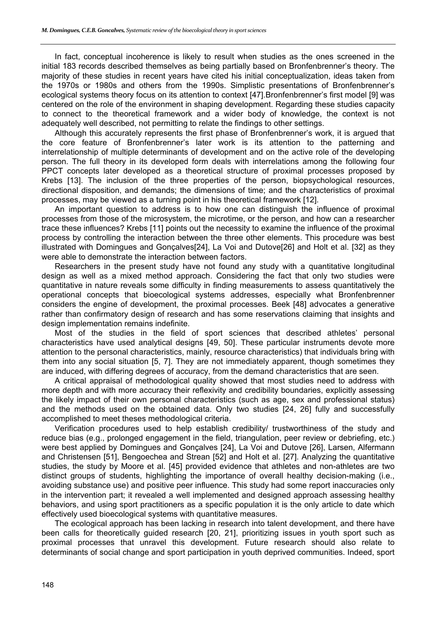In fact, conceptual incoherence is likely to result when studies as the ones screened in the initial 183 records described themselves as being partially based on Bronfenbrenner's theory. The majority of these studies in recent years have cited his initial conceptualization, ideas taken from the 1970s or 1980s and others from the 1990s. Simplistic presentations of Bronfenbrenner's ecological systems theory focus on its attention to context [47].Bronfenbrenner's first model [9] was centered on the role of the environment in shaping development. Regarding these studies capacity to connect to the theoretical framework and a wider body of knowledge, the context is not adequately well described, not permitting to relate the findings to other settings.

Although this accurately represents the first phase of Bronfenbrenner's work, it is argued that the core feature of Bronfenbrenner's later work is its attention to the patterning and interrelationship of multiple determinants of development and on the active role of the developing person. The full theory in its developed form deals with interrelations among the following four PPCT concepts later developed as a theoretical structure of proximal processes proposed by Krebs [13]. The inclusion of the three properties of the person, biopsychological resources, directional disposition, and demands; the dimensions of time; and the characteristics of proximal processes, may be viewed as a turning point in his theoretical framework [12].

An important question to address is to how one can distinguish the influence of proximal processes from those of the microsystem, the microtime, or the person, and how can a researcher trace these influences? Krebs [11] points out the necessity to examine the influence of the proximal process by controlling the interaction between the three other elements. This procedure was best illustrated with Domingues and Gonçalves[24], La Voi and Dutove[26] and Holt et al. [32] as they were able to demonstrate the interaction between factors.

Researchers in the present study have not found any study with a quantitative longitudinal design as well as a mixed method approach. Considering the fact that only two studies were quantitative in nature reveals some difficulty in finding measurements to assess quantitatively the operational concepts that bioecological systems addresses, especially what Bronfenbrenner considers the engine of development, the proximal processes. Beek [48] advocates a generative rather than confirmatory design of research and has some reservations claiming that insights and design implementation remains indefinite.

Most of the studies in the field of sport sciences that described athletes' personal characteristics have used analytical designs [49, 50]. These particular instruments devote more attention to the personal characteristics, mainly, resource characteristics) that individuals bring with them into any social situation [5, 7]. They are not immediately apparent, though sometimes they are induced, with differing degrees of accuracy, from the demand characteristics that are seen.

A critical appraisal of methodological quality showed that most studies need to address with more depth and with more accuracy their reflexivity and credibility boundaries, explicitly assessing the likely impact of their own personal characteristics (such as age, sex and professional status) and the methods used on the obtained data. Only two studies [24, 26] fully and successfully accomplished to meet theses methodological criteria.

Verification procedures used to help establish credibility/ trustworthiness of the study and reduce bias (e.g., prolonged engagement in the field, triangulation, peer review or debriefing, etc.) were best applied by Domingues and Gonçalves [24], La Voi and Dutove [26], Larsen, Alfermann and Christensen [51], Bengoechea and Strean [52] and Holt et al. [27]. Analyzing the quantitative studies, the study by Moore et al. [45] provided evidence that athletes and non-athletes are two distinct groups of students, highlighting the importance of overall healthy decision-making (i.e., avoiding substance use) and positive peer influence. This study had some report inaccuracies only in the intervention part; it revealed a well implemented and designed approach assessing healthy behaviors, and using sport practitioners as a specific population it is the only article to date which effectively used bioecological systems with quantitative measures.

The ecological approach has been lacking in research into talent development, and there have been calls for theoretically guided research [20, 21], prioritizing issues in youth sport such as proximal processes that unravel this development. Future research should also relate to determinants of social change and sport participation in youth deprived communities. Indeed, sport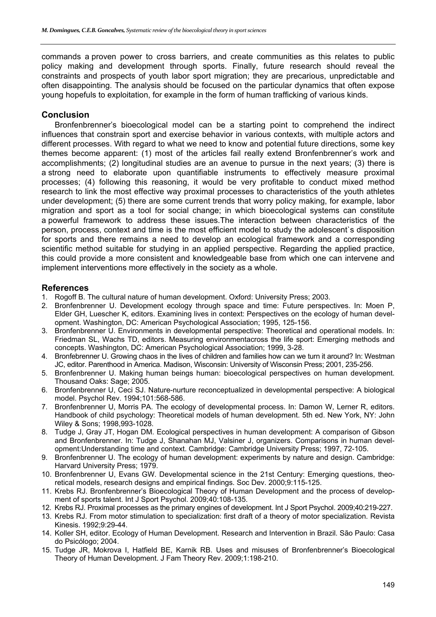commands a proven power to cross barriers, and create communities as this relates to public policy making and development through sports. Finally, future research should reveal the constraints and prospects of youth labor sport migration; they are precarious, unpredictable and often disappointing. The analysis should be focused on the particular dynamics that often expose young hopefuls to exploitation, for example in the form of human trafficking of various kinds.

# **Conclusion**

Bronfenbrenner's bioecological model can be a starting point to comprehend the indirect influences that constrain sport and exercise behavior in various contexts, with multiple actors and different processes. With regard to what we need to know and potential future directions, some key themes become apparent: (1) most of the articles fail really extend Bronfenbrenner's work and accomplishments; (2) longitudinal studies are an avenue to pursue in the next years; (3) there is a strong need to elaborate upon quantifiable instruments to effectively measure proximal processes; (4) following this reasoning, it would be very profitable to conduct mixed method research to link the most effective way proximal processes to characteristics of the youth athletes under development; (5) there are some current trends that worry policy making, for example, labor migration and sport as a tool for social change; in which bioecological systems can constitute a powerful framework to address these issues.The interaction between characteristics of the person, process, context and time is the most efficient model to study the adolescent`s disposition for sports and there remains a need to develop an ecological framework and a corresponding scientific method suitable for studying in an applied perspective. Regarding the applied practice, this could provide a more consistent and knowledgeable base from which one can intervene and implement interventions more effectively in the society as a whole.

# **References**

- 1. Rogoff B. The cultural nature of human development. Oxford: University Press; 2003.
- 2. Bronfenbrenner U. Development ecology through space and time: Future perspectives. In: Moen P, Elder GH, Luescher K, editors. Examining lives in context: Perspectives on the ecology of human development. Washington, DC: American Psychological Association; 1995, 125-156.
- 3. Bronfenbrenner U. Environments in developmental perspective: Theoretical and operational models. In: Friedman SL, Wachs TD, editors. Measuring environmentacross the life sport: Emerging methods and concepts. Washington, DC: American Psychological Association; 1999, 3-28.
- 4. Bronfebrenner U. Growing chaos in the lives of children and families how can we turn it around? In: Westman JC, editor. Parenthood in America. Madison, Wisconsin: University of Wisconsin Press; 2001, 235-256.
- 5. Bronfenbrenner U. Making human beings human: bioecological perspectives on human development. Thousand Oaks: Sage; 2005.
- 6. Bronfenbrenner U, Ceci SJ. Nature-nurture reconceptualized in developmental perspective: A biological model. Psychol Rev. 1994;101:568-586.
- 7. Bronfenbrenner U, Morris PA. The ecology of developmental process. In: Damon W, Lerner R, editors. Handbook of child psychology: Theoretical models of human development. 5th ed. New York, NY: John Wiley & Sons; 1998,993-1028.
- 8. Tudge J, Gray JT, Hogan DM. Ecological perspectives in human development: A comparison of Gibson and Bronfenbrenner. In: Tudge J, Shanahan MJ, Valsiner J, organizers. Comparisons in human development:Understanding time and context. Cambridge: Cambridge University Press; 1997, 72-105.
- 9. Bronfenbrenner U. The ecology of human development: experiments by nature and design. Cambridge: Harvard University Press; 1979.
- 10. Bronfenbrenner U, Evans GW. Developmental science in the 21st Century: Emerging questions, theoretical models, research designs and empirical findings. Soc Dev. 2000;9:115-125.
- 11. Krebs RJ. Bronfenbrenner's Bioecological Theory of Human Development and the process of development of sports talent. Int J Sport Psychol. 2009;40:108-135.
- 12. Krebs RJ. Proximal processes as the primary engines of development. Int J Sport Psychol. 2009;40:219-227.
- 13. Krebs RJ. From motor stimulation to specialization: first draft of a theory of motor specialization. Revista Kinesis. 1992;9:29-44.
- 14. Koller SH, editor. Ecology of Human Development. Research and Intervention in Brazil. São Paulo: Casa do Psicólogo; 2004.
- 15. Tudge JR, Mokrova I, Hatfield BE, Karnik RB. Uses and misuses of Bronfenbrenner's Bioecological Theory of Human Development. J Fam Theory Rev. 2009;1:198-210.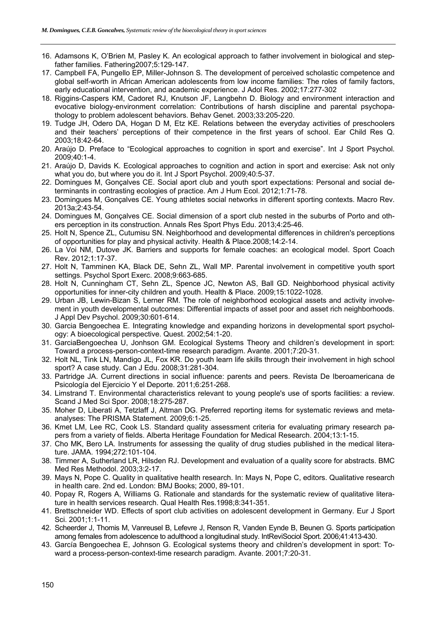- 16. Adamsons K, O'Brien M, Pasley K. An ecological approach to father involvement in biological and stepfather families. Fathering2007;5:129-147.
- 17. Campbell FA, Pungello EP, Miller-Johnson S. The development of perceived scholastic competence and global self-worth in African American adolescents from low income families: The roles of family factors, early educational intervention, and academic experience. J Adol Res. 2002;17:277-302
- 18. Riggins-Caspers KM, Cadoret RJ, Knutson JF, Langbehn D. Biology and environment interaction and evocative biology-environment correlation: Contributions of harsh discipline and parental psychopathology to problem adolescent behaviors. Behav Genet. 2003;33:205-220.
- 19. Tudge JH, Odero DA, Hogan D M, Etz KE. Relations between the everyday activities of preschoolers and their teachers' perceptions of their competence in the first years of school. Ear Child Res Q. 2003;18:42-64.
- 20. Araújo D. Preface to "Ecological approaches to cognition in sport and exercise". Int J Sport Psychol. 2009;40:1-4.
- 21. Araújo D, Davids K. Ecological approaches to cognition and action in sport and exercise: Ask not only what you do, but where you do it. Int J Sport Psychol. 2009;40:5-37.
- 22. Domingues M, Gonçalves CE. Social aport club and youth sport expectations: Personal and social determinants in contrasting ecologies of practice. Am J Hum Ecol. 2012;1:71-78.
- 23. Domingues M, Gonçalves CE. Young athletes social networks in different sporting contexts. Macro Rev. 2013a;2:43-54.
- 24. Domingues M, Gonçalves CE. Social dimension of a sport club nested in the suburbs of Porto and others perception in its construction. Annals Res Sport Phys Edu. 2013;4:25-46.
- 25. Holt N, Spence ZL, Cutumisu SN. Neighborhood and developmental differences in children's perceptions of opportunities for play and physical activity. Health & Place.2008;14:2-14.
- 26. La Voi NM, Dutove JK. Barriers and supports for female coaches: an ecological model. Sport Coach Rev. 2012;1:17-37.
- 27. Holt N, Tamminen KA, Black DE, Sehn ZL, Wall MP. Parental involvement in competitive youth sport settings. Psychol Sport Exerc. 2008;9:663-685.
- 28. Holt N, Cunningham CT, Sehn ZL, Spence JC, Newton AS, Ball GD. Neighborhood physical activity opportunities for inner-city children and youth. Health & Place. 2009;15:1022-1028.
- 29. Urban JB, Lewin-Bizan S, Lerner RM. The role of neighborhood ecological assets and activity involvement in youth developmental outcomes: Differential impacts of asset poor and asset rich neighborhoods. J Appl Dev Psychol. 2009;30:601-614.
- 30. Garcia Bengoechea E. Integrating knowledge and expanding horizons in developmental sport psychology: A bioecological perspective. Quest. 2002;54:1-20.
- 31. GarciaBengoechea U, Jonhson GM. Ecological Systems Theory and children's development in sport: Toward a process-person-context-time research paradigm. Avante. 2001;7:20-31.
- 32. Holt NL, Tink LN, Mandigo JL, Fox KR. Do youth learn life skills through their involvement in high school sport? A case study. Can J Edu. 2008;31:281-304.
- 33. Partridge JA. Current directions in social influence: parents and peers. Revista De Iberoamericana de Psicología del Ejercicio Y el Deporte. 2011;6:251-268.
- 34. Limstrand T. Environmental characteristics relevant to young people's use of sports facilities: a review. Scand J Med Sci Spor. 2008;18:275-287.
- 35. Moher D, Liberati A, Tetzlaff J, Altman DG. Preferred reporting items for systematic reviews and metaanalyses: The PRISMA Statement. 2009;6:1-25.
- 36. Kmet LM, Lee RC, Cook LS. Standard quality assessment criteria for evaluating primary research papers from a variety of fields. Alberta Heritage Foundation for Medical Research. 2004;13:1-15.
- 37. Cho MK, Bero LA. Instruments for assessing the quality of drug studies published in the medical literature. JAMA. 1994;272:101-104.
- 38. Timmer A, Sutherland LR, Hilsden RJ. Development and evaluation of a quality score for abstracts. BMC Med Res Methodol. 2003;3:2-17.
- 39. Mays N, Pope C. Quality in qualitative health research. In: Mays N, Pope C, editors. Qualitative research in health care. 2nd ed. London: BMJ Books; 2000, 89-101.
- 40. Popay R, Rogers A, Williams G. Rationale and standards for the systematic review of qualitative literature in health services research. Qual Health Res.1998;8:341-351.
- 41. Brettschneider WD. Effects of sport club activities on adolescent development in Germany. Eur J Sport Sci. 2001;1:1-11.
- 42. Scheerder J, Thomis M, Vanreusel B, Lefevre J, Renson R, Vanden Eynde B, Beunen G. Sports participation among females from adolescence to adulthood a longitudinal study. IntReviSociol Sport. 2006;41:413-430.
- 43. García Bengoechea E, Johnson G. Ecological systems theory and children's development in sport: Toward a process-person-context-time research paradigm. Avante. 2001;7:20-31.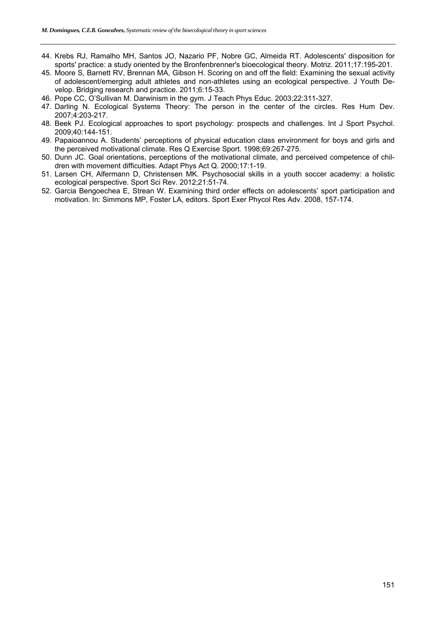- 44. Krebs RJ, Ramalho MH, Santos JO, Nazario PF, Nobre GC, Almeida RT. Adolescents' disposition for sports' practice: a study oriented by the Bronfenbrenner's bioecological theory. Motriz. 2011;17:195-201.
- 45. Moore S, Barnett RV, Brennan MA, Gibson H. Scoring on and off the field: Examining the sexual activity of adolescent/emerging adult athletes and non-athletes using an ecological perspective. J Youth Develop. Bridging research and practice. 2011;6:15-33.
- 46. Pope CC, O'Sullivan M. Darwinism in the gym. J Teach Phys Educ. 2003;22:311-327.
- 47. Darling N. Ecological Systems Theory: The person in the center of the circles. Res Hum Dev. 2007;4:203-217.
- 48. Beek PJ. Ecological approaches to sport psychology: prospects and challenges. Int J Sport Psychol. 2009;40:144-151.
- 49. Papaioannou A. Students' perceptions of physical education class environment for boys and girls and the perceived motivational climate. Res Q Exercise Sport. 1998;69:267-275.
- 50. Dunn JC. Goal orientations, perceptions of the motivational climate, and perceived competence of children with movement difficulties. Adapt Phys Act Q. 2000;17:1-19.
- 51. Larsen CH, Alfermann D, Christensen MK. Psychosocial skills in a youth soccer academy: a holistic ecological perspective. Sport Sci Rev. 2012;21:51-74.
- 52. Garcia Bengoechea E, Strean W. Examining third order effects on adolescents' sport participation and motivation. In: Simmons MP, Foster LA, editors. Sport Exer Phycol Res Adv. 2008, 157-174.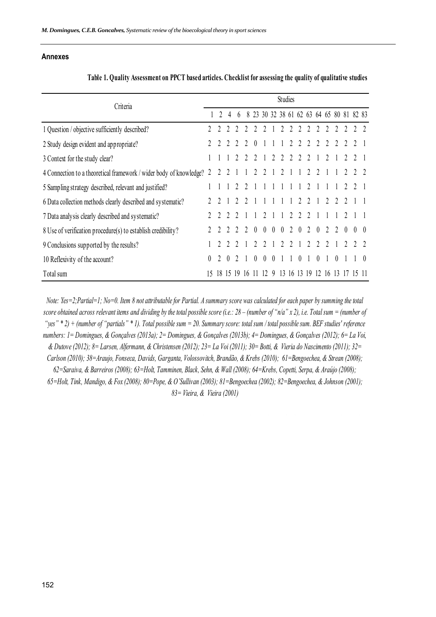# **Annexes**

| Criteria                                                                |  | <b>Studies</b> |  |   |                |          |                |                |                |                |                |                     |          |                |                |          |                                          |  |
|-------------------------------------------------------------------------|--|----------------|--|---|----------------|----------|----------------|----------------|----------------|----------------|----------------|---------------------|----------|----------------|----------------|----------|------------------------------------------|--|
|                                                                         |  |                |  | 6 |                |          |                |                |                |                |                |                     |          |                |                |          | 8 23 30 32 38 61 62 63 64 65 80 81 82 83 |  |
| 1 Question / objective sufficiently described?                          |  |                |  |   |                |          |                |                |                |                |                |                     |          |                |                |          |                                          |  |
| 2 Study design evident and appropriate?                                 |  |                |  |   |                |          |                |                |                | $\overline{2}$ | $\mathfrak{D}$ |                     |          |                |                |          |                                          |  |
| 3 Context for the study clear?                                          |  |                |  |   |                |          |                | $\mathfrak{D}$ | $\mathfrak{D}$ | $\mathfrak{D}$ |                |                     |          | $\mathfrak{D}$ |                |          |                                          |  |
| 2<br>4 Connection to a theoretical framework / wider body of knowledge? |  |                |  |   |                |          |                |                |                |                |                |                     |          |                |                |          |                                          |  |
| 5 Sampling strategy described, relevant and justified?                  |  |                |  |   |                |          |                |                |                |                |                |                     |          |                |                |          |                                          |  |
| 6 Data collection methods clearly described and systematic?             |  |                |  |   |                |          |                |                |                |                |                |                     |          | 2              |                |          |                                          |  |
| 7 Data analysis clearly described and systematic?                       |  |                |  |   |                |          | $\mathfrak{D}$ |                |                | 2              | $\overline{2}$ | $\overline{2}$      |          |                |                |          |                                          |  |
| 8 Use of verification procedure(s) to establish credibility?            |  |                |  | 2 | $\mathfrak{D}$ | $\theta$ | $\overline{0}$ | $\overline{0}$ | $\theta$       | 2 0            |                | 2                   | $\theta$ | 2              | $\mathfrak{D}$ | $\theta$ |                                          |  |
| 9 Conclusions supported by the results?                                 |  |                |  |   |                |          |                |                |                |                |                |                     |          |                |                |          |                                          |  |
| 10 Reflexivity of the account?                                          |  |                |  |   |                |          |                |                |                |                |                |                     |          |                |                |          |                                          |  |
| Total sum                                                               |  |                |  |   | 16             |          |                |                |                |                |                | 12 9 13 16 13 19 12 |          | 16             | -13            |          |                                          |  |

**Table 1. Quality Assessment on PPCT based articles. Checklist for assessing the quality of qualitative studies**

*Note: Yes=2;Partial=1; No=0. Item 8 not attributable for Partial. A summary score was calculated for each paper by summing the total score obtained across relevant items and dividing by the total possible score (i.e.: 28 – (number of "n/a" x 2), i.e. Total sum = (number of "yes" \* 2) + (number of "partials" \* 1). Total possible sum = 20. Summary score: total sum / total possible sum. BEF studies' reference numbers: 1= Domingues, & Gonçalves (2013a); 2= Domingues, & Gonçalves (2013b); 4= Domingues, & Gonçalves (2012); 6= La Voi, & Dutove (2012); 8= Larsen, Alfermann, & Christensen (2012); 23= La Voi (2011); 30= Botti, & Vieria do Nascimento (2011); 32= Carlson (2010); 38=Araujo, Fonseca, Davids, Garganta, Volossovitch, Brandão, & Krebs (2010); 61=Bengoechea, & Strean (2008); 62=Saraiva, & Barreiros (2008); 63=Holt, Tamminen, Black, Sehn, & Wall (2008); 64=Krebs, Copetti, Serpa, & Araújo (2008); 65=Holt, Tink, Mandigo, & Fox (2008); 80=Pope, & O'Sullivan (2003); 81=Bengoechea (2002); 82=Bengoechea, & Johnson (2001); 83= Vieira, & Vieira (2001)*